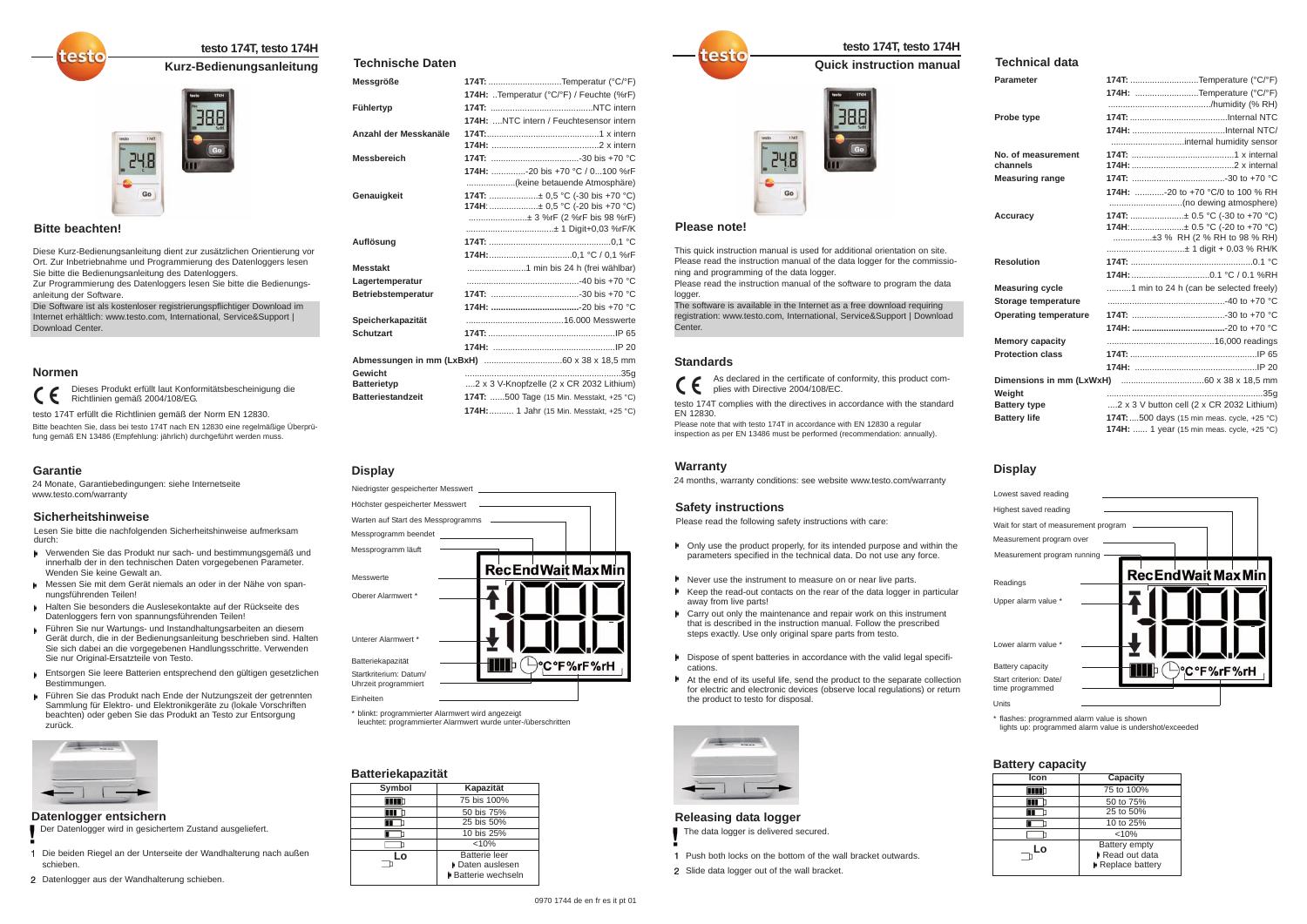# **testo 174T, testo 174H**

## **Kurz-Bedienungsanleitung**



# **Batteriekapazität**

| <b>Datterlekapazitat</b> |                                                               |  |
|--------------------------|---------------------------------------------------------------|--|
| <b>Symbol</b>            | Kapazität                                                     |  |
|                          | 75 bis 100%                                                   |  |
| Ш                        | 50 bis 75%                                                    |  |
|                          | 25 bis 50%                                                    |  |
|                          | 10 bis 25%                                                    |  |
|                          | $< 10\%$                                                      |  |
| Lo                       | <b>Batterie leer</b><br>▶ Daten auslesen<br>Batterie wechseln |  |

#### **Sicherheitshinweise**

Lesen Sie bitte die nachfolgenden Sicherheitshinweise aufmerksam durch:

- Verwenden Sie das Produkt nur sach- und bestimmungsgemäß und innerhalb der in den technischen Daten vorgegebenen Parameter. Wenden Sie keine Gewalt an.
- Messen Sie mit dem Gerät niemals an oder in der Nähe von spannungsführenden Teilen!
- Halten Sie besonders die Auslesekontakte auf der Rückseite des Datenloggers fern von spannungsführenden Teilen!
- Führen Sie nur Wartungs- und Instandhaltungsarbeiten an diesem Gerät durch, die in der Bedienungsanleitung beschrieben sind. Halten Sie sich dabei an die vorgegebenen Handlungsschritte. Verwenden Sie nur Original-Ersatzteile von Testo.
- Entsorgen Sie leere Batterien entsprechend den gültigen gesetzlichen Bestimmungen.
- Führen Sie das Produkt nach Ende der Nutzungszeit der getrennten Sammlung für Elektro- und Elektronikgeräte zu (lokale Vorschriften beachten) oder geben Sie das Produkt an Testo zur Entsorgung zurück.



#### **Garantie**

24 Monate, Garantiebedingungen: siehe Internetseite www.testo.com/warranty

### **Bitte beachten!**

2510

#### **Normen**

Diese Kurz-Bedienungsanleitung dient zur zusätzlichen Orientierung vor Ort. Zur Inbetriebnahme und Programmierung des Datenloggers lesen Sie bitte die Bedienungsanleitung des Datenloggers.

Zur Programmierung des Datenloggers lesen Sie bitte die Bedienungsanleitung der Software.

Die Software ist als kostenloser registrierungspflichtiger Download im Internet erhältlich: www.testo.com, International, Service&Support | Download Center.

Dieses Produkt erfüllt laut Konformitätsbescheinigung die L E. Richtlinien gemäß 2004/108/EG.

testo 174T erfüllt die Richtlinien gemäß der Norm EN 12830. Bitte beachten Sie, dass bei testo 174T nach EN 12830 eine regelmäßige Überprüfung gemäß EN 13486 (Empfehlung: jährlich) durchgeführt werden muss.

#### **Technische Daten**

#### **Icon Capacity** 75 to 100% mm 50 to 75%  $\overline{\mathbf{H}}$  $\blacksquare$ 25 to 50% 10 to 25%  $\Box$  $\Box$ <10% **Lo**Battery empty Read out data **Replace battery**

Please read the instruction manual of the software to program the data logger

| <b>Messgröße</b>         | 174T: Temperatur (°C/°F)                                        |
|--------------------------|-----------------------------------------------------------------|
|                          | 174H: Temperatur (°C/°F) / Feuchte (%rF)                        |
| Fühlertyp                |                                                                 |
|                          | 174H: NTC intern / Feuchtesensor intern                         |
| Anzahl der Messkanäle    |                                                                 |
|                          |                                                                 |
| <b>Messbereich</b>       |                                                                 |
|                          | 174H: -20 bis +70 °C / 0100 %rF<br>(keine betauende Atmosphäre) |
| Genauigkeit              | 174T: ± 0.5 °C (-30 bis +70 °C)                                 |
|                          | 174H: ± 0,5 °C (-20 bis +70 °C)                                 |
|                          | ± 3 %rF (2 %rF bis 98 %rF)<br>± 1 Digit+0,03 %rF/K              |
| Auflösung                |                                                                 |
|                          |                                                                 |
| <b>Messtakt</b>          |                                                                 |
|                          |                                                                 |
| Lagertemperatur          |                                                                 |
| Betriebstemperatur       |                                                                 |
|                          | 174H: -20 bis +70 °C                                            |
| Speicherkapazität        |                                                                 |
| <b>Schutzart</b>         |                                                                 |
|                          |                                                                 |
|                          |                                                                 |
| Gewicht                  |                                                                 |
| <b>Batterietyp</b>       | 2 x 3 V-Knopfzelle (2 x CR 2032 Lithium)                        |
| <b>Batteriestandzeit</b> | 174T: 500 Tage (15 Min. Messtakt, +25 °C)                       |
|                          | 174H:  1 Jahr (15 Min. Messtakt, +25 °C)                        |



\* blinkt: programmierter Alarmwert wird angezeigt leuchtet: programmierter Alarmwert wurde unter-/überschritten

## **Display**

#### **Datenlogger entsichern**

Der Datenlogger wird in gesichertem Zustand ausgeliefert.

- 1 Die beiden Riegel an der Unterseite der Wandhalterung nach außen schieben.
- 2 Datenlogger aus der Wandhalterung schieben.

# **testo 174T, testo 174H**

**Quick instruction manual** 



# **Battery capacity**

#### **Safety instructions**

Please read the following safety instructions with care:

- Only use the product properly, for its intended purpose and within the parameters specified in the technical data. Do not use any force.
- **Never use the instrument to measure on or near live parts.**
- Keep the read-out contacts on the rear of the data logger in particular away from live parts!
- **E** Carry out only the maintenance and repair work on this instrument that is described in the instruction manual. Follow the prescribed steps exactly. Use only original spare parts from testo.
- Dispose of spent batteries in accordance with the valid legal specifications.
- At the end of its useful life, send the product to the separate collection for electric and electronic devices (observe local regulations) or return the product to testo for disposal.



#### **Warranty**

24 months, warranty conditions: see website www.testo.com/warranty

#### **Please note!**

est

#### **Standards**

This quick instruction manual is used for additional orientation on site. Please read the instruction manual of the data logger for the commissioning and programming of the data logger.

The software is available in the Internet as a free download requiring registration: www.testo.com, International, Service&Support | Download Center.

As declared in the certificate of conformity, this product com- $\epsilon$ plies with Directive 2004/108/EC.

testo 174T complies with the directives in accordance with the standard EN 12830.

Please note that with testo 174T in accordance with EN 12830 a regular inspection as per EN 13486 must be performed (recommendation: annually).

# **Technical data**

| <b>Parameter</b>             | <b>174T:</b> Temperature (°C/°F)                                 |
|------------------------------|------------------------------------------------------------------|
|                              | 174H: Temperature (°C/°F)                                        |
|                              |                                                                  |
| Probe type                   |                                                                  |
|                              |                                                                  |
|                              | internal humidity sensor                                         |
| No. of measurement           |                                                                  |
| channels                     |                                                                  |
| <b>Measuring range</b>       |                                                                  |
|                              | 174H: -20 to +70 °C/0 to 100 % RH                                |
|                              |                                                                  |
| <b>Accuracy</b>              | 174T: ± 0.5 °C (-30 to +70 °C)                                   |
|                              | 174H:± 0.5 °C (-20 to +70 °C)                                    |
|                              | ±3 % RH (2 % RH to 98 % RH)                                      |
|                              | ± 1 digit + 0.03 % RH/K                                          |
| <b>Resolution</b>            |                                                                  |
|                              |                                                                  |
| <b>Measuring cycle</b>       | 1 min to 24 h (can be selected freely)                           |
| Storage temperature          |                                                                  |
| <b>Operating temperature</b> |                                                                  |
|                              |                                                                  |
| <b>Memory capacity</b>       |                                                                  |
| <b>Protection class</b>      |                                                                  |
|                              |                                                                  |
| Dimensions in mm (LxWxH)     |                                                                  |
| Weight                       |                                                                  |
| <b>Battery type</b>          | 2 x 3 V button cell $(2 \times \text{CR } 2032 \text{ Lithium})$ |
| <b>Battery life</b>          | 174T:500 days (15 min meas. cycle, +25 °C)                       |
|                              | <b>174H:</b> 1 year (15 min meas. cycle, +25 °C)                 |



\* flashes: programmed alarm value is shown

lights up: programmed alarm value is undershot/exceeded

# **Display**

#### **Releasing data logger**

- The data logger is delivered secured.
- 1 Push both locks on the bottom of the wall bracket outwards.
- 2 Slide data logger out of the wall bracket.